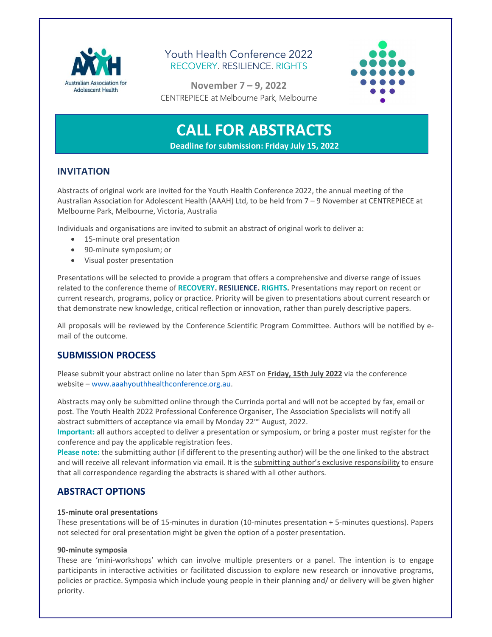

## Youth Health Conference 2022 RECOVERY. RESILIENCE. RIGHTS



November 7 – 9, 2022 CENTREPIECE at Melbourne Park, Melbourne

# CALL FOR ABSTRACTS

Deadline for submission: Friday July 15, 2022

## INVITATION

Abstracts of original work are invited for the Youth Health Conference 2022, the annual meeting of the Australian Association for Adolescent Health (AAAH) Ltd, to be held from 7 – 9 November at CENTREPIECE at Melbourne Park, Melbourne, Victoria, Australia

Individuals and organisations are invited to submit an abstract of original work to deliver a:

- **•** 15-minute oral presentation
- 90-minute symposium; or
- Visual poster presentation

Presentations will be selected to provide a program that offers a comprehensive and diverse range of issues related to the conference theme of RECOVERY. RESILIENCE. RIGHTS. Presentations may report on recent or current research, programs, policy or practice. Priority will be given to presentations about current research or that demonstrate new knowledge, critical reflection or innovation, rather than purely descriptive papers.

All proposals will be reviewed by the Conference Scientific Program Committee. Authors will be notified by email of the outcome.

## SUBMISSION PROCESS

Please submit your abstract online no later than 5pm AEST on Friday, 15th July 2022 via the conference website – www.aaahyouthhealthconference.org.au.

Abstracts may only be submitted online through the Currinda portal and will not be accepted by fax, email or post. The Youth Health 2022 Professional Conference Organiser, The Association Specialists will notify all abstract submitters of acceptance via email by Monday 22<sup>nd</sup> August, 2022.

Important: all authors accepted to deliver a presentation or symposium, or bring a poster must register for the conference and pay the applicable registration fees.

Please note: the submitting author (if different to the presenting author) will be the one linked to the abstract and will receive all relevant information via email. It is the submitting author's exclusive responsibility to ensure that all correspondence regarding the abstracts is shared with all other authors.

## ABSTRACT OPTIONS

#### 15-minute oral presentations

These presentations will be of 15-minutes in duration (10-minutes presentation + 5-minutes questions). Papers not selected for oral presentation might be given the option of a poster presentation.

#### 90-minute symposia

These are 'mini-workshops' which can involve multiple presenters or a panel. The intention is to engage participants in interactive activities or facilitated discussion to explore new research or innovative programs, policies or practice. Symposia which include young people in their planning and/ or delivery will be given higher priority.